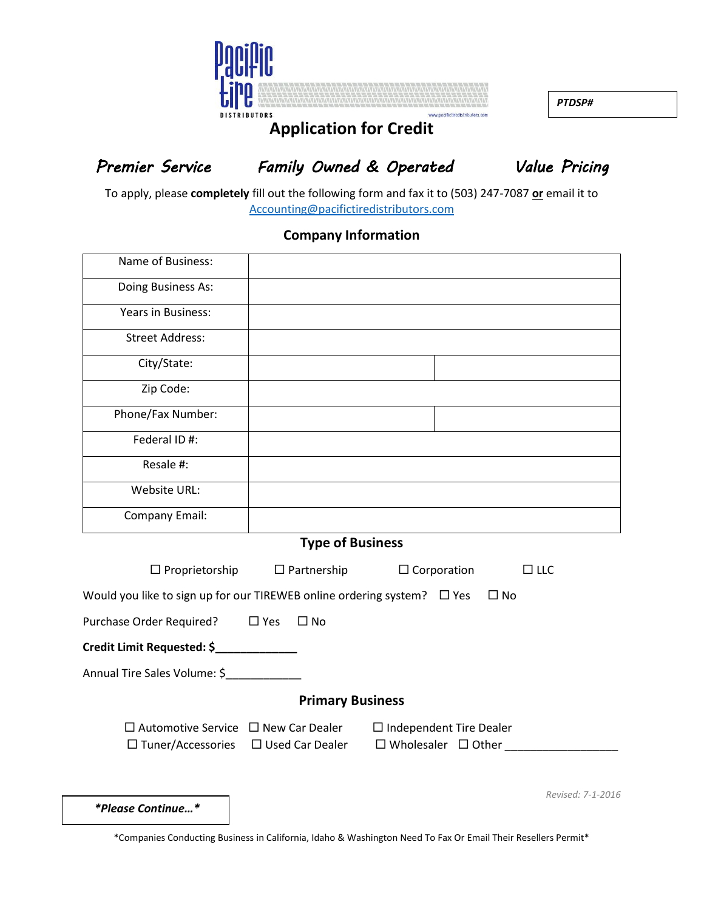

*PTDSP#*

# **Application for Credit**

*\*Please Continue…\**

*Premier Service Family Owned & Operated Value Pricing* 

To apply, please **completely** fill out the following form and fax it to (503) 247-7087 **or** email it to [Accounting@pacifictiredistributors.com](mailto:Accounting@pacifictiredistributors.com)

## **Company Information**

| Name of Business:                                                                                  |                                                        |                                                                  |                   |  |  |
|----------------------------------------------------------------------------------------------------|--------------------------------------------------------|------------------------------------------------------------------|-------------------|--|--|
| Doing Business As:                                                                                 |                                                        |                                                                  |                   |  |  |
| <b>Years in Business:</b>                                                                          |                                                        |                                                                  |                   |  |  |
| <b>Street Address:</b>                                                                             |                                                        |                                                                  |                   |  |  |
| City/State:                                                                                        |                                                        |                                                                  |                   |  |  |
| Zip Code:                                                                                          |                                                        |                                                                  |                   |  |  |
| Phone/Fax Number:                                                                                  |                                                        |                                                                  |                   |  |  |
| Federal ID#:                                                                                       |                                                        |                                                                  |                   |  |  |
| Resale #:                                                                                          |                                                        |                                                                  |                   |  |  |
| Website URL:                                                                                       |                                                        |                                                                  |                   |  |  |
| <b>Company Email:</b>                                                                              |                                                        |                                                                  |                   |  |  |
| <b>Type of Business</b>                                                                            |                                                        |                                                                  |                   |  |  |
| $\Box$ Proprietorship                                                                              | $\Box$ Partnership<br>$\Box$ LLC<br>$\Box$ Corporation |                                                                  |                   |  |  |
| Would you like to sign up for our TIREWEB online ordering system? $\Box$ Yes<br>$\Box$ No          |                                                        |                                                                  |                   |  |  |
| Purchase Order Required?                                                                           | $\square$ Yes<br>$\Box$ No                             |                                                                  |                   |  |  |
| Credit Limit Requested: \$____________                                                             |                                                        |                                                                  |                   |  |  |
| Annual Tire Sales Volume: \$                                                                       |                                                        |                                                                  |                   |  |  |
| <b>Primary Business</b>                                                                            |                                                        |                                                                  |                   |  |  |
| $\Box$ Automotive Service $\Box$ New Car Dealer<br>$\Box$ Tuner/Accessories $\Box$ Used Car Dealer |                                                        | $\Box$ Independent Tire Dealer<br>$\Box$ Wholesaler $\Box$ Other |                   |  |  |
|                                                                                                    |                                                        |                                                                  | Revised: 7-1-2016 |  |  |

\*Companies Conducting Business in California, Idaho & Washington Need To Fax Or Email Their Resellers Permit\*